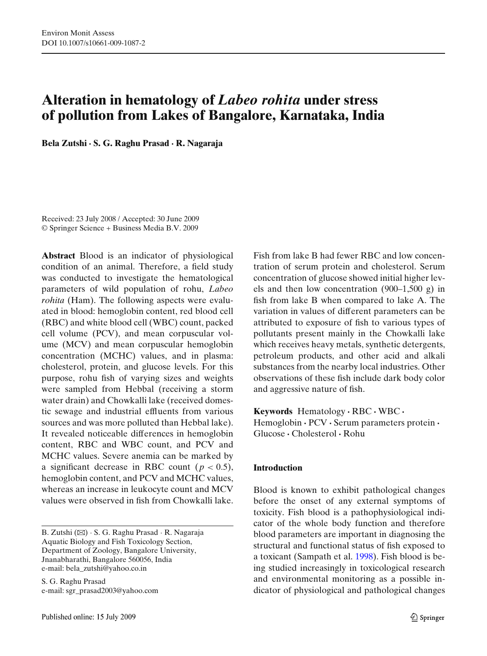# **Alteration in hematology of** *Labeo rohita* **under stress of pollution from Lakes of Bangalore, Karnataka, India**

**Bela Zutshi · S. G. Raghu Prasad · R. Nagaraja**

Received: 23 July 2008 / Accepted: 30 June 2009 © Springer Science + Business Media B.V. 2009

**Abstract** Blood is an indicator of physiological condition of an animal. Therefore, a field study was conducted to investigate the hematological parameters of wild population of rohu, *Labeo rohita* (Ham). The following aspects were evaluated in blood: hemoglobin content, red blood cell (RBC) and white blood cell (WBC) count, packed cell volume (PCV), and mean corpuscular volume (MCV) and mean corpuscular hemoglobin concentration (MCHC) values, and in plasma: cholesterol, protein, and glucose levels. For this purpose, rohu fish of varying sizes and weights were sampled from Hebbal (receiving a storm water drain) and Chowkalli lake (received domestic sewage and industrial effluents from various sources and was more polluted than Hebbal lake). It revealed noticeable differences in hemoglobin content, RBC and WBC count, and PCV and MCHC values. Severe anemia can be marked by a significant decrease in RBC count ( $p < 0.5$ ), hemoglobin content, and PCV and MCHC values, whereas an increase in leukocyte count and MCV values were observed in fish from Chowkalli lake.

B. Zutshi (B) · S. G. Raghu Prasad · R. Nagaraja Aquatic Biology and Fish Toxicology Section, Department of Zoology, Bangalore University, Jnanabharathi, Bangalore 560056, India e-mail: bela\_zutshi@yahoo.co.in

S. G. Raghu Prasad e-mail: sgr\_prasad2003@yahoo.com Fish from lake B had fewer RBC and low concentration of serum protein and cholesterol. Serum concentration of glucose showed initial higher levels and then low concentration (900–1,500 g) in fish from lake B when compared to lake A. The variation in values of different parameters can be attributed to exposure of fish to various types of pollutants present mainly in the Chowkalli lake which receives heavy metals, synthetic detergents, petroleum products, and other acid and alkali substances from the nearby local industries. Other observations of these fish include dark body color and aggressive nature of fish.

**Keywords** Hematology **·** RBC **·** WBC **·** Hemoglobin **·** PCV **·** Serum parameters protein **·** Glucose **·** Cholesterol **·** Rohu

# **Introduction**

Blood is known to exhibit pathological changes before the onset of any external symptoms of toxicity. Fish blood is a pathophysiological indicator of the whole body function and therefore blood parameters are important in diagnosing the structural and functional status of fish exposed to a toxicant (Sampath et al[.](#page-8-0) [1998](#page-8-0)). Fish blood is being studied increasingly in toxicological research and environmental monitoring as a possible indicator of physiological and pathological changes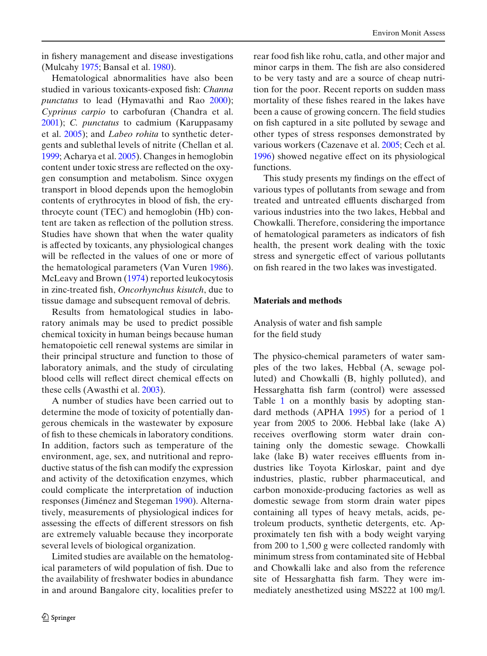in fishery management and disease investigations (Mulcah[y](#page-8-0) [1975;](#page-8-0) Bansal et al[.](#page-7-0) [1980\)](#page-7-0).

Hematological abnormalities have also been studied in various toxicants-exposed fish: *Channa punctatus* to lead (Hymavathi and Ra[o](#page-8-0) [2000\)](#page-8-0); *Cyprinus carpio* to carbofuran (Chandra et al[.](#page-7-0) [2001\)](#page-7-0); *C. punctatus* to cadmium (Karuppasamy et al[.](#page-8-0) [2005](#page-8-0)); and *Labeo rohita* to synthetic detergents and sublethal levels of nitrite (Chellan et al[.](#page-7-0) [1999;](#page-7-0) Acharya et al[.](#page-7-0) [2005\)](#page-7-0). Changes in hemoglobin content under toxic stress are reflected on the oxygen consumption and metabolism. Since oxygen transport in blood depends upon the hemoglobin contents of erythrocytes in blood of fish, the erythrocyte count (TEC) and hemoglobin (Hb) content are taken as reflection of the pollution stress. Studies have shown that when the water quality is affected by toxicants, any physiological changes will be reflected in the values of one or more of the hematological parameters (Van Vure[n](#page-8-0) [1986\)](#page-8-0). McLeavy and Brow[n](#page-8-0) [\(1974](#page-8-0)) reported leukocytosis in zinc-treated fish, *Oncorhynchus kisutch*, due to tissue damage and subsequent removal of debris.

Results from hematological studies in laboratory animals may be used to predict possible chemical toxicity in human beings because human hematopoietic cell renewal systems are similar in their principal structure and function to those of laboratory animals, and the study of circulating blood cells will reflect direct chemical effects on these cells (Awasthi et al[.](#page-7-0) [2003\)](#page-7-0).

A number of studies have been carried out to determine the mode of toxicity of potentially dangerous chemicals in the wastewater by exposure of fish to these chemicals in laboratory conditions. In addition, factors such as temperature of the environment, age, sex, and nutritional and reproductive status of the fish can modify the expression and activity of the detoxification enzymes, which could complicate the interpretation of induction responses (Jiménez and Stegema[n](#page-8-0) [1990](#page-8-0)). Alternatively, measurements of physiological indices for assessing the effects of different stressors on fish are extremely valuable because they incorporate several levels of biological organization.

Limited studies are available on the hematological parameters of wild population of fish. Due to the availability of freshwater bodies in abundance in and around Bangalore city, localities prefer to rear food fish like rohu, catla, and other major and minor carps in them. The fish are also considered to be very tasty and are a source of cheap nutrition for the poor. Recent reports on sudden mass mortality of these fishes reared in the lakes have been a cause of growing concern. The field studies on fish captured in a site polluted by sewage and other types of stress responses demonstrated by various workers (Cazenave et al. [2005](#page-7-0); Cech et al. [1996\)](#page-7-0) showed negative effect on its physiological functions.

This study presents my findings on the effect of various types of pollutants from sewage and from treated and untreated effluents discharged from various industries into the two lakes, Hebbal and Chowkalli. Therefore, considering the importance of hematological parameters as indicators of fish health, the present work dealing with the toxic stress and synergetic effect of various pollutants on fish reared in the two lakes was investigated.

### **Materials and methods**

Analysis of water and fish sample for the field study

The physico-chemical parameters of water samples of the two lakes, Hebbal (A, sewage polluted) and Chowkalli (B, highly polluted), and Hessarghatta fish farm (control) were assessed Table [1](#page-2-0) on a monthly basis by adopting standard methods (APH[A](#page-7-0) [1995\)](#page-7-0) for a period of 1 year from 2005 to 2006. Hebbal lake (lake A) receives overflowing storm water drain containing only the domestic sewage. Chowkalli lake (lake B) water receives effluents from industries like Toyota Kirloskar, paint and dye industries, plastic, rubber pharmaceutical, and carbon monoxide-producing factories as well as domestic sewage from storm drain water pipes containing all types of heavy metals, acids, petroleum products, synthetic detergents, etc. Approximately ten fish with a body weight varying from 200 to 1,500 g were collected randomly with minimum stress from contaminated site of Hebbal and Chowkalli lake and also from the reference site of Hessarghatta fish farm. They were immediately anesthetized using MS222 at 100 mg/l.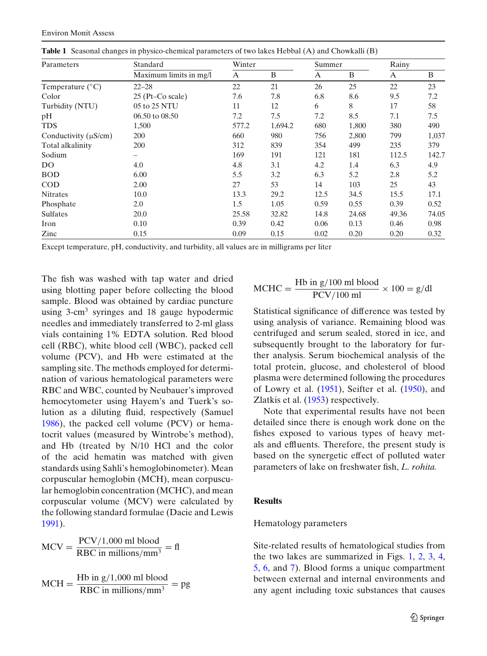| Parameters                | Standard               | Winter |         | Summer |       | Rainy |       |
|---------------------------|------------------------|--------|---------|--------|-------|-------|-------|
|                           | Maximum limits in mg/l | A      | B       | A      | B     | A     | B     |
| Temperature $(^{\circ}C)$ | $22 - 28$              | 22     | 21      | 26     | 25    | 22    | 23    |
| Color                     | $25$ (Pt–Co scale)     | 7.6    | 7.8     | 6.8    | 8.6   | 9.5   | 7.2   |
| Turbidity (NTU)           | 05 to 25 NTU           | 11     | 12      | 6      | 8     | 17    | 58    |
| pH                        | 06.50 to 08.50         | 7.2    | 7.5     | 7.2    | 8.5   | 7.1   | 7.5   |
| <b>TDS</b>                | 1,500                  | 577.2  | 1,694.2 | 680    | 1,800 | 380   | 490   |
| Conductivity $(\mu S/cm)$ | 200                    | 660    | 980     | 756    | 2,800 | 799   | 1,037 |
| Total alkalinity          | 200                    | 312    | 839     | 354    | 499   | 235   | 379   |
| Sodium                    | -                      | 169    | 191     | 121    | 181   | 112.5 | 142.7 |
| DO                        | 4.0                    | 4.8    | 3.1     | 4.2    | 1.4   | 6.3   | 4.9   |
| <b>BOD</b>                | 6.00                   | 5.5    | 3.2     | 6.3    | 5.2   | 2.8   | 5.2   |
| $\rm COD$                 | 2.00                   | 27     | 53      | 14     | 103   | 25    | 43    |
| <b>Nitrates</b>           | 10.0                   | 13.3   | 29.2    | 12.5   | 34.5  | 15.5  | 17.1  |
| Phosphate                 | 2.0                    | 1.5    | 1.05    | 0.59   | 0.55  | 0.39  | 0.52  |
| <b>Sulfates</b>           | 20.0                   | 25.58  | 32.82   | 14.8   | 24.68 | 49.36 | 74.05 |
| Iron                      | 0.10                   | 0.39   | 0.42    | 0.06   | 0.13  | 0.46  | 0.98  |
| Zinc                      | 0.15                   | 0.09   | 0.15    | 0.02   | 0.20  | 0.20  | 0.32  |

<span id="page-2-0"></span>**Table 1** Seasonal changes in physico-chemical parameters of two lakes Hebbal (A) and Chowkalli (B)

Except temperature, pH, conductivity, and turbidity, all values are in milligrams per liter

The fish was washed with tap water and dried using blotting paper before collecting the blood sample. Blood was obtained by cardiac puncture using 3-cm<sup>3</sup> syringes and 18 gauge hypodermic needles and immediately transferred to 2-ml glass vials containing 1% EDTA solution. Red blood cell (RBC), white blood cell (WBC), packed cell volume (PCV), and Hb were estimated at the sampling site. The methods employed for determination of various hematological parameters were RBC and WBC, counted by Neubauer's improved hemocytometer using Hayem's and Tuerk's solution as a diluting fluid, respectively (Samue[l](#page-8-0) [1986\)](#page-8-0), the packed cell volume (PCV) or hematocrit values (measured by Wintrobe's method), and Hb (treated by N/10 HCl and the color of the acid hematin was matched with given standards using Sahli's hemoglobinometer). Mean corpuscular hemoglobin (MCH), mean corpuscular hemoglobin concentration (MCHC), and mean corpuscular volume (MCV) were calculated by the following standard formulae (Dacie and Lewi[s](#page-7-0) [1991\)](#page-7-0).

$$
MCV = \frac{PCV/1,000 \text{ ml blood}}{RBC \text{ in millions/mm}^3} = \text{fl}
$$

$$
MCH = \frac{Hb \text{ in } g/1,000 \text{ ml blood}}{RBC \text{ in millions/mm}^3} = pg
$$

$$
MCHC = \frac{Hb \text{ in } g/100 \text{ ml blood}}{PCV/100 \text{ ml}} \times 100 = g/dl
$$

Statistical significance of difference was tested by using analysis of variance. Remaining blood was centrifuged and serum sealed, stored in ice, and subsequently brought to the laboratory for further analysis. Serum biochemical analysis of the total protein, glucose, and cholesterol of blood plasma were determined following the procedures of Lowry et al[.](#page-8-0) [\(1951](#page-8-0)), Seifter et al[.](#page-8-0) [\(1950\)](#page-8-0), and Zlatkis et al[.](#page-8-0) [\(1953](#page-8-0)) respectively.

Note that experimental results have not been detailed since there is enough work done on the fishes exposed to various types of heavy metals and effluents. Therefore, the present study is based on the synergetic effect of polluted water parameters of lake on freshwater fish, *L. rohita.*

# **Results**

# Hematology parameters

Site-related results of hematological studies from the two lakes are summarized in Figs. [1,](#page-3-0) [2,](#page-3-0) [3,](#page-3-0) [4,](#page-3-0) [5,](#page-4-0) [6,](#page-4-0) and [7\)](#page-4-0). Blood forms a unique compartment between external and internal environments and any agent including toxic substances that causes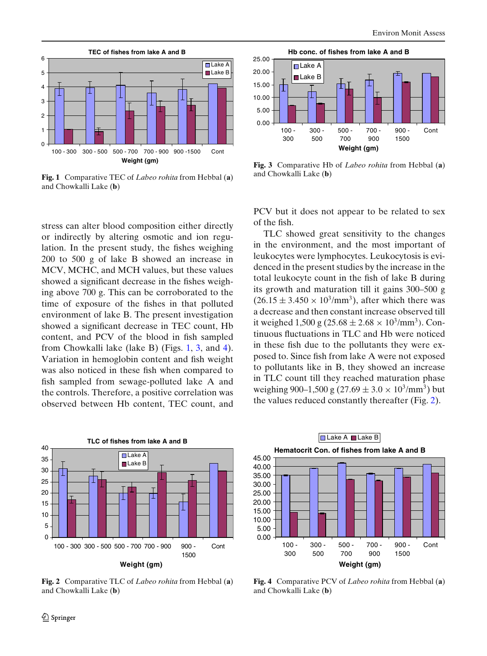<span id="page-3-0"></span>

**Fig. 1** Comparative TEC of *Labeo rohita* from Hebbal (**a**) and Chowkalli Lake (**b**)

stress can alter blood composition either directly or indirectly by altering osmotic and ion regulation. In the present study, the fishes weighing 200 to 500 g of lake B showed an increase in MCV, MCHC, and MCH values, but these values showed a significant decrease in the fishes weighing above 700 g. This can be corroborated to the time of exposure of the fishes in that polluted environment of lake B. The present investigation showed a significant decrease in TEC count, Hb content, and PCV of the blood in fish sampled from Chowkalli lake (lake B) (Figs. 1, 3, and 4). Variation in hemoglobin content and fish weight was also noticed in these fish when compared to fish sampled from sewage-polluted lake A and the controls. Therefore, a positive correlation was observed between Hb content, TEC count, and



**Weight (gm)**

**Fig. 2** Comparative TLC of *Labeo rohita* from Hebbal (**a**) and Chowkalli Lake (**b**)



**Fig. 3** Comparative Hb of *Labeo rohita* from Hebbal (**a**) and Chowkalli Lake (**b**)

PCV but it does not appear to be related to sex of the fish.

TLC showed great sensitivity to the changes in the environment, and the most important of leukocytes were lymphocytes. Leukocytosis is evidenced in the present studies by the increase in the total leukocyte count in the fish of lake B during its growth and maturation till it gains 300–500 g  $(26.15 \pm 3.450 \times 10^3/\text{mm}^3)$ , after which there was a decrease and then constant increase observed till it weighed 1,500 g (25.68  $\pm$  2.68  $\times$  10<sup>3</sup>/mm<sup>3</sup>). Continuous fluctuations in TLC and Hb were noticed in these fish due to the pollutants they were exposed to. Since fish from lake A were not exposed to pollutants like in B, they showed an increase in TLC count till they reached maturation phase weighing 900–1,500 g (27.69  $\pm$  3.0  $\times$  10<sup>3</sup>/mm<sup>3</sup>) but the values reduced constantly thereafter (Fig. 2).



**Fig. 4** Comparative PCV of *Labeo rohita* from Hebbal (**a**) and Chowkalli Lake (**b**)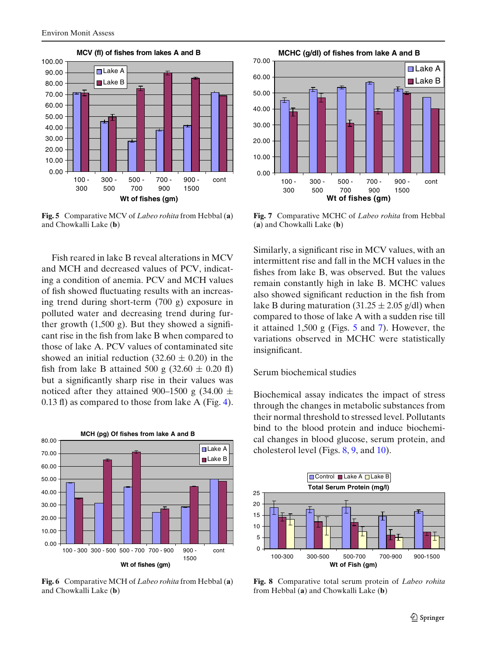<span id="page-4-0"></span>

**Fig. 5** Comparative MCV of *Labeo rohita* from Hebbal (**a**) and Chowkalli Lake (**b**)

Fish reared in lake B reveal alterations in MCV and MCH and decreased values of PCV, indicating a condition of anemia. PCV and MCH values of fish showed fluctuating results with an increasing trend during short-term (700 g) exposure in polluted water and decreasing trend during further growth  $(1,500 \text{ g})$ . But they showed a significant rise in the fish from lake B when compared to those of lake A. PCV values of contaminated site showed an initial reduction  $(32.60 \pm 0.20)$  in the fish from lake B attained 500 g  $(32.60 \pm 0.20 \text{ f})$ but a significantly sharp rise in their values was noticed after they attained 900–1500 g (34.00  $\pm$ 0.13 fl) as compared to those from lake A (Fig. [4\)](#page-3-0).



**Fig. 6** Comparative MCH of *Labeo rohita* from Hebbal (**a**) and Chowkalli Lake (**b**)



**Fig. 7** Comparative MCHC of *Labeo rohita* from Hebbal (**a**) and Chowkalli Lake (**b**)

Similarly, a significant rise in MCV values, with an intermittent rise and fall in the MCH values in the fishes from lake B, was observed. But the values remain constantly high in lake B. MCHC values also showed significant reduction in the fish from lake B during maturation (31.25  $\pm$  2.05 g/dl) when compared to those of lake A with a sudden rise till it attained 1,500 g (Figs. 5 and 7). However, the variations observed in MCHC were statistically insignificant.

#### Serum biochemical studies

Biochemical assay indicates the impact of stress through the changes in metabolic substances from their normal threshold to stressed level. Pollutants bind to the blood protein and induce biochemical changes in blood glucose, serum protein, and cholesterol level (Figs. 8, [9,](#page-5-0) and [10\)](#page-5-0).



**Fig. 8** Comparative total serum protein of *Labeo rohita* from Hebbal (**a**) and Chowkalli Lake (**b**)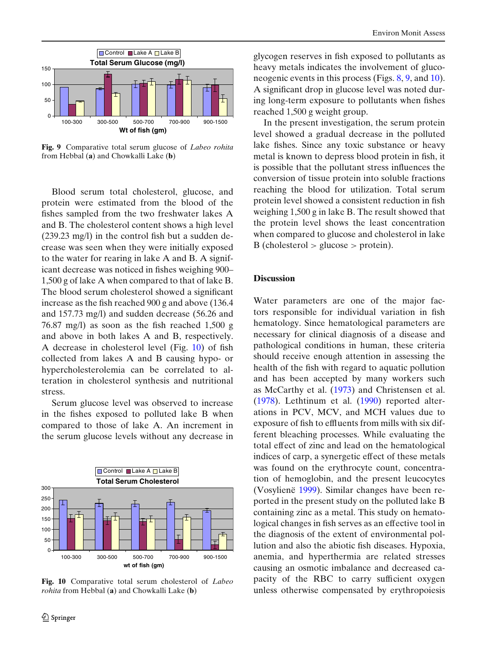<span id="page-5-0"></span>

**Fig. 9** Comparative total serum glucose of *Labeo rohita* from Hebbal (**a**) and Chowkalli Lake (**b**)

Blood serum total cholesterol, glucose, and protein were estimated from the blood of the fishes sampled from the two freshwater lakes A and B. The cholesterol content shows a high level (239.23 mg/l) in the control fish but a sudden decrease was seen when they were initially exposed to the water for rearing in lake A and B. A significant decrease was noticed in fishes weighing 900– 1,500 g of lake A when compared to that of lake B. The blood serum cholesterol showed a significant increase as the fish reached 900 g and above (136.4 and 157.73 mg/l) and sudden decrease (56.26 and 76.87 mg/l) as soon as the fish reached 1,500 g and above in both lakes A and B, respectively. A decrease in cholesterol level (Fig. 10) of fish collected from lakes A and B causing hypo- or hypercholesterolemia can be correlated to alteration in cholesterol synthesis and nutritional stress.

Serum glucose level was observed to increase in the fishes exposed to polluted lake B when compared to those of lake A. An increment in the serum glucose levels without any decrease in



**Fig. 10** Comparative total serum cholesterol of *Labeo rohita* from Hebbal (**a**) and Chowkalli Lake (**b**)

glycogen reserves in fish exposed to pollutants as heavy metals indicates the involvement of gluconeogenic events in this process (Figs. [8,](#page-4-0) 9, and 10). A significant drop in glucose level was noted during long-term exposure to pollutants when fishes reached 1,500 g weight group.

In the present investigation, the serum protein level showed a gradual decrease in the polluted lake fishes. Since any toxic substance or heavy metal is known to depress blood protein in fish, it is possible that the pollutant stress influences the conversion of tissue protein into soluble fractions reaching the blood for utilization. Total serum protein level showed a consistent reduction in fish weighing 1,500 g in lake B. The result showed that the protein level shows the least concentration when compared to glucose and cholesterol in lake  $B$  (cholesterol  $>$  glucose  $>$  protein).

#### **Discussion**

Water parameters are one of the major factors responsible for individual variation in fish hematology. Since hematological parameters are necessary for clinical diagnosis of a disease and pathological conditions in human, these criteria should receive enough attention in assessing the health of the fish with regard to aquatic pollution and has been accepted by many workers such as McCarthy et al[.](#page-8-0) [\(1973](#page-8-0)) and Christensen et al[.](#page-7-0) [\(1978\)](#page-7-0). Lethtinum et al[.](#page-8-0) [\(1990\)](#page-8-0) reported alterations in PCV, MCV, and MCH values due to exposure of fish to effluents from mills with six different bleaching processes. While evaluating the total effect of zinc and lead on the hematological indices of carp, a synergetic effect of these metals was found on the erythrocyte count, concentration of hemoglobin, and the present leucocytes (Vosylien[ë](#page-8-0) [1999\)](#page-8-0). Similar changes have been reported in the present study on the polluted lake B containing zinc as a metal. This study on hematological changes in fish serves as an effective tool in the diagnosis of the extent of environmental pollution and also the abiotic fish diseases. Hypoxia, anemia, and hyperthermia are related stresses causing an osmotic imbalance and decreased capacity of the RBC to carry sufficient oxygen unless otherwise compensated by erythropoiesis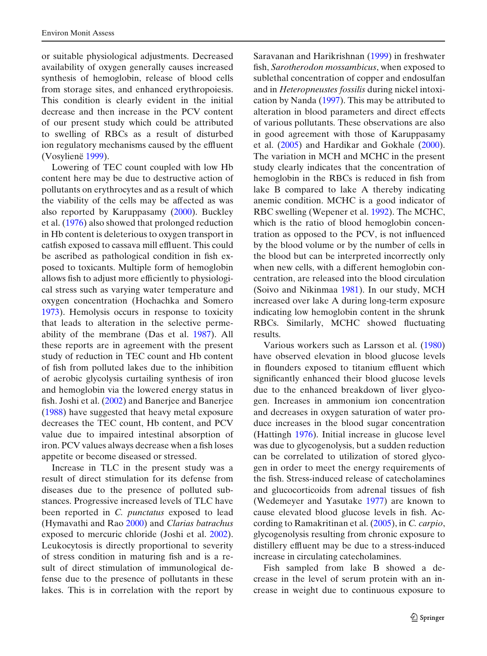or suitable physiological adjustments. Decreased availability of oxygen generally causes increased synthesis of hemoglobin, release of blood cells from storage sites, and enhanced erythropoiesis. This condition is clearly evident in the initial decrease and then increase in the PCV content of our present study which could be attributed to swelling of RBCs as a result of disturbed ion regulatory mechanisms caused by the effluent (Vosylien[ë](#page-8-0) [1999\)](#page-8-0).

Lowering of TEC count coupled with low Hb content here may be due to destructive action of pollutants on erythrocytes and as a result of which the viability of the cells may be affected as was also reported by Karuppasam[y](#page-8-0) [\(2000\)](#page-8-0). Buckley et al[.](#page-7-0) [\(1976\)](#page-7-0) also showed that prolonged reduction in Hb content is deleterious to oxygen transport in catfish exposed to cassava mill effluent. This could be ascribed as pathological condition in fish exposed to toxicants. Multiple form of hemoglobin allows fish to adjust more efficiently to physiological stress such as varying water temperature and oxygen concentration (Hochachka and Somer[o](#page-8-0) [1973\)](#page-8-0). Hemolysis occurs in response to toxicity that leads to alteration in the selective permeability of the membrane (Das et al[.](#page-7-0) [1987](#page-7-0)). All these reports are in agreement with the present study of reduction in TEC count and Hb content of fish from polluted lakes due to the inhibition of aerobic glycolysis curtailing synthesis of iron and hemoglobin via the lowered energy status in fish. Joshi et al[.](#page-8-0) [\(2002](#page-8-0)) and Banerjee and Banerje[e](#page-7-0) [\(1988\)](#page-7-0) have suggested that heavy metal exposure decreases the TEC count, Hb content, and PCV value due to impaired intestinal absorption of iron. PCV values always decrease when a fish loses appetite or become diseased or stressed.

Increase in TLC in the present study was a result of direct stimulation for its defense from diseases due to the presence of polluted substances. Progressive increased levels of TLC have been reported in *C. punctatus* exposed to lead (Hymavathi and Ra[o](#page-8-0) [2000\)](#page-8-0) and *Clarias batrachus* exposed to mercuric chloride (Joshi et al[.](#page-8-0) [2002\)](#page-8-0). Leukocytosis is directly proportional to severity of stress condition in maturing fish and is a result of direct stimulation of immunological defense due to the presence of pollutants in these lakes. This is in correlation with the report by Saravanan and Harikrishna[n](#page-8-0) [\(1999](#page-8-0)) in freshwater fish, *Sarotherodon mossambicus*, when exposed to sublethal concentration of copper and endosulfan and in *Heteropneustes fossilis* during nickel intoxication by Nand[a](#page-8-0) [\(1997](#page-8-0)). This may be attributed to alteration in blood parameters and direct effects of various pollutants. These observations are also in good agreement with those of Karuppasamy et al[.](#page-8-0) [\(2005\)](#page-8-0) and Hardikar and Gokhal[e](#page-7-0) [\(2000\)](#page-7-0). The variation in MCH and MCHC in the present study clearly indicates that the concentration of hemoglobin in the RBCs is reduced in fish from lake B compared to lake A thereby indicating anemic condition. MCHC is a good indicator of RBC swelling (Wepener et al[.](#page-8-0) [1992](#page-8-0)). The MCHC, which is the ratio of blood hemoglobin concentration as opposed to the PCV, is not influenced by the blood volume or by the number of cells in the blood but can be interpreted incorrectly only when new cells, with a different hemoglobin concentration, are released into the blood circulation (Soivo and Nikinma[a](#page-8-0) [1981\)](#page-8-0). In our study, MCH increased over lake A during long-term exposure indicating low hemoglobin content in the shrunk RBCs. Similarly, MCHC showed fluctuating results.

Various workers such as Larsson et al[.](#page-8-0) [\(1980](#page-8-0)) have observed elevation in blood glucose levels in flounders exposed to titanium effluent which significantly enhanced their blood glucose levels due to the enhanced breakdown of liver glycogen. Increases in ammonium ion concentration and decreases in oxygen saturation of water produce increases in the blood sugar concentration (Hatting[h](#page-7-0) [1976\)](#page-7-0). Initial increase in glucose level was due to glycogenolysis, but a sudden reduction can be correlated to utilization of stored glycogen in order to meet the energy requirements of the fish. Stress-induced release of catecholamines and glucocorticoids from adrenal tissues of fish (Wedemeyer and Yasutak[e](#page-8-0) [1977\)](#page-8-0) are known to cause elevated blood glucose levels in fish. According to Ramakritinan et al[.](#page-8-0) [\(2005\)](#page-8-0), in *C. carpio*, glycogenolysis resulting from chronic exposure to distillery effluent may be due to a stress-induced increase in circulating catecholamines.

Fish sampled from lake B showed a decrease in the level of serum protein with an increase in weight due to continuous exposure to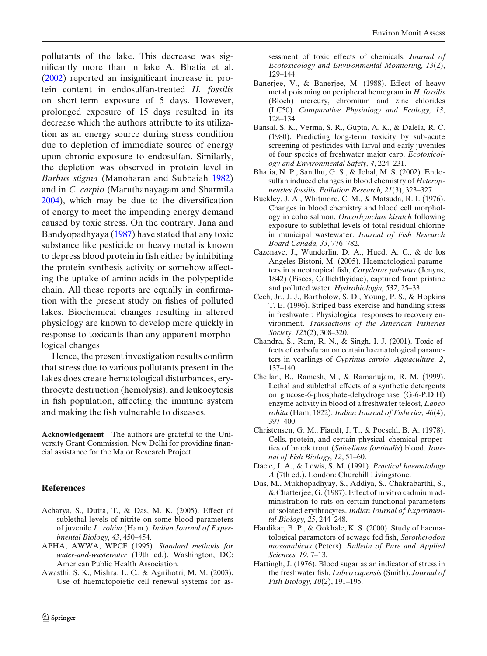<span id="page-7-0"></span>pollutants of the lake. This decrease was significantly more than in lake A. Bhatia et al. (2002) reported an insignificant increase in protein content in endosulfan-treated *H. fossilis* on short-term exposure of 5 days. However, prolonged exposure of 15 days resulted in its decrease which the authors attribute to its utilization as an energy source during stress condition due to depletion of immediate source of energy upon chronic exposure to endosulfan. Similarly, the depletion was observed in protein level in *Barbus stigma* (Manoharan and Subbaia[h](#page-8-0) [1982](#page-8-0)) and in *C. carpio* (Maruthanayagam and Sharmil[a](#page-8-0) [2004\)](#page-8-0), which may be due to the diversification of energy to meet the impending energy demand caused by toxic stress. On the contrary, Jana and Bandyopadhyaya [\(1987](#page-8-0)) have stated that any toxic substance like pesticide or heavy metal is known to depress blood protein in fish either by inhibiting the protein synthesis activity or somehow affecting the uptake of amino acids in the polypeptide chain. All these reports are equally in confirmation with the present study on fishes of polluted lakes. Biochemical changes resulting in altered physiology are known to develop more quickly in response to toxicants than any apparent morphological changes

Hence, the present investigation results confirm that stress due to various pollutants present in the lakes does create hematological disturbances, erythrocyte destruction (hemolysis), and leukocytosis in fish population, affecting the immune system and making the fish vulnerable to diseases.

**Acknowledgement** The authors are grateful to the University Grant Commission, New Delhi for providing financial assistance for the Major Research Project.

# **References**

- Acharya, S., Dutta, T., & Das, M. K. (2005). Effect of sublethal levels of nitrite on some blood parameters of juvenile *L. rohita* (Ham.). *Indian Journal of Experimental Biology, 43*, 450–454.
- APHA, AWWA, WPCF (1995). *Standard methods for water-and-wastewater* (19th ed.). Washington, DC: American Public Health Association.
- Awasthi, S. K., Mishra, L. C., & Agnihotri, M. M. (2003). Use of haematopoietic cell renewal systems for as-

sessment of toxic effects of chemicals. *Journal of Ecotoxicology and Environmental Monitoring, 13*(2), 129–144.

- Banerjee, V., & Banerjee, M. (1988). Effect of heavy metal poisoning on peripheral hemogram in *H. fossilis* (Bloch) mercury, chromium and zinc chlorides (LC50). *Comparative Physiology and Ecology, 13*, 128–134.
- Bansal, S. K., Verma, S. R., Gupta, A. K., & Dalela, R. C. (1980). Predicting long-term toxicity by sub-acute screening of pesticides with larval and early juveniles of four species of freshwater major carp. *Ecotoxicology and Environmental Safety, 4*, 224–231.
- Bhatia, N. P., Sandhu, G. S., & Johal, M. S. (2002). Endosulfan induced changes in blood chemistry of *Heteropneustes fossilis*. *Pollution Research, 21*(3), 323–327.
- Buckley, J. A., Whitmore, C. M., & Matsuda, R. I. (1976). Changes in blood chemistry and blood cell morphology in coho salmon, *Oncorhynchus kisutch* following exposure to sublethal levels of total residual chlorine in municipal wastewater. *Journal of Fish Research Board Canada, 33*, 776–782.
- Cazenave, J., Wunderlin, D. A., Hued, A. C., & de los Angeles Bistoni, M. (2005). Haematological parameters in a neotropical fish, *Corydoras paleatus* (Jenyns, 1842) (Pisces, Callichthyidae), captured from pristine and polluted water. *Hydrobiologia, 537*, 25–33.
- Cech, Jr., J. J., Bartholow, S. D., Young, P. S., & Hopkins T. E. (1996). Striped bass exercise and handling stress in freshwater: Physiological responses to recovery environment. *Transactions of the American Fisheries Society, 125*(2), 308–320.
- Chandra, S., Ram, R. N., & Singh, I. J. (2001). Toxic effects of carbofuran on certain haematological parameters in yearlings of *Cyprinus carpio*. *Aquaculture, 2*, 137–140.
- Chellan, B., Ramesh, M., & Ramanujam, R. M. (1999). Lethal and sublethal effects of a synthetic detergents on glucose-6-phosphate-dehydrogenase (G-6-P.D.H) enzyme activity in blood of a freshwater teleost, *Labeo rohita* (Ham, 1822). *Indian Journal of Fisheries, 46*(4), 397–400.
- Christensen, G. M., Fiandt, J. T., & Poeschl, B. A. (1978). Cells, protein, and certain physical–chemical properties of brook trout (*Salvelinus fontinalis*) blood. *Journal of Fish Biology, 12*, 51–60.
- Dacie, J. A., & Lewis, S. M. (1991). *Practical haematology A* (7th ed.). London: Churchill Livingstone.
- Das, M., Mukhopadhyay, S., Addiya, S., Chakrabarthi, S., & Chatterjee, G. (1987). Effect of in vitro cadmium administration to rats on certain functional parameters of isolated erythrocytes. *Indian Journal of Experimental Biology, 25*, 244–248.
- Hardikar, B. P., & Gokhale, K. S. (2000). Study of haematological parameters of sewage fed fish, *Sarotherodon mossambicus* (Peters). *Bulletin of Pure and Applied Sciences, 19*, 7–13.
- Hattingh, J. (1976). Blood sugar as an indicator of stress in the freshwater fish, *Labeo capensis* (Smith). *Journal of Fish Biology, 10*(2), 191–195.